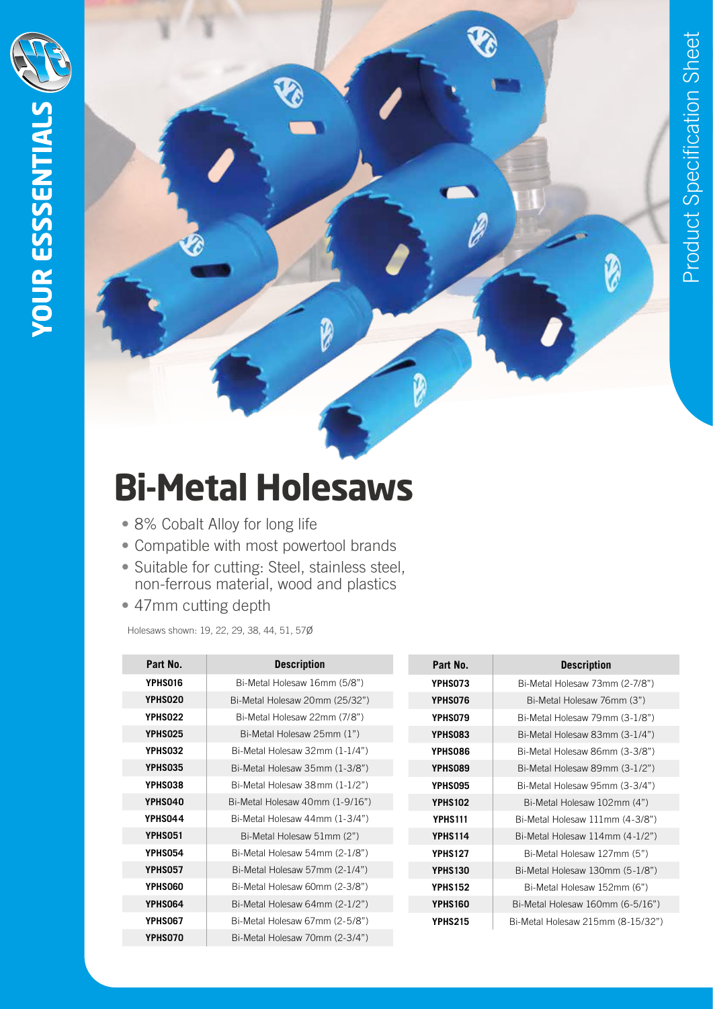Ø



## **Bi-Metal Holesaws**

- 8% Cobalt Alloy for long life
- Compatible with most powertool brands
- Suitable for cutting: Steel, stainless steel, non-ferrous material, wood and plastics
- 47mm cutting depth

Holesaws shown: 19, 22, 29, 38, 44, 51, 57ø

| Part No.       | <b>Description</b>              | Part No.       | <b>Description</b>                |
|----------------|---------------------------------|----------------|-----------------------------------|
| YPHS016        | Bi-Metal Holesaw 16mm (5/8")    | <b>YPHS073</b> | Bi-Metal Holesaw 73mm (2-7/8")    |
| YPHS020        | Bi-Metal Holesaw 20mm (25/32")  | YPHS076        | Bi-Metal Holesaw 76mm (3")        |
| YPHS022        | Bi-Metal Holesaw 22mm (7/8")    | <b>YPHS079</b> | Bi-Metal Holesaw 79mm (3-1/8")    |
| YPHS025        | Bi-Metal Holesaw 25mm (1")      | YPHS083        | Bi-Metal Holesaw 83mm (3-1/4")    |
| <b>YPHS032</b> | Bi-Metal Holesaw 32mm (1-1/4")  | YPHS086        | Bi-Metal Holesaw 86mm (3-3/8")    |
| YPHS035        | Bi-Metal Holesaw 35mm (1-3/8")  | YPHS089        | Bi-Metal Holesaw 89mm (3-1/2")    |
| YPHS038        | Bi-Metal Holesaw 38mm (1-1/2")  | YPHS095        | Bi-Metal Holesaw 95mm (3-3/4")    |
| YPHS040        | Bi-Metal Holesaw 40mm (1-9/16") | <b>YPHS102</b> | Bi-Metal Holesaw 102mm (4")       |
| YPHS044        | Bi-Metal Holesaw 44mm (1-3/4")  | <b>YPHS111</b> | Bi-Metal Holesaw 111mm (4-3/8")   |
| <b>YPHS051</b> | Bi-Metal Holesaw 51mm (2")      | <b>YPHS114</b> | Bi-Metal Holesaw 114mm (4-1/2")   |
| <b>YPHS054</b> | Bi-Metal Holesaw 54mm (2-1/8")  | <b>YPHS127</b> | Bi-Metal Holesaw 127mm (5")       |
| YPHS057        | Bi-Metal Holesaw 57mm (2-1/4")  | <b>YPHS130</b> | Bi-Metal Holesaw 130mm (5-1/8")   |
| YPHS060        | Bi-Metal Holesaw 60mm (2-3/8")  | <b>YPHS152</b> | Bi-Metal Holesaw 152mm (6")       |
| YPHS064        | Bi-Metal Holesaw 64mm (2-1/2")  | <b>YPHS160</b> | Bi-Metal Holesaw 160mm (6-5/16")  |
| <b>YPHS067</b> | Bi-Metal Holesaw 67mm (2-5/8")  | <b>YPHS215</b> | Bi-Metal Holesaw 215mm (8-15/32") |
| YPHS070        | Bi-Metal Holesaw 70mm (2-3/4")  |                |                                   |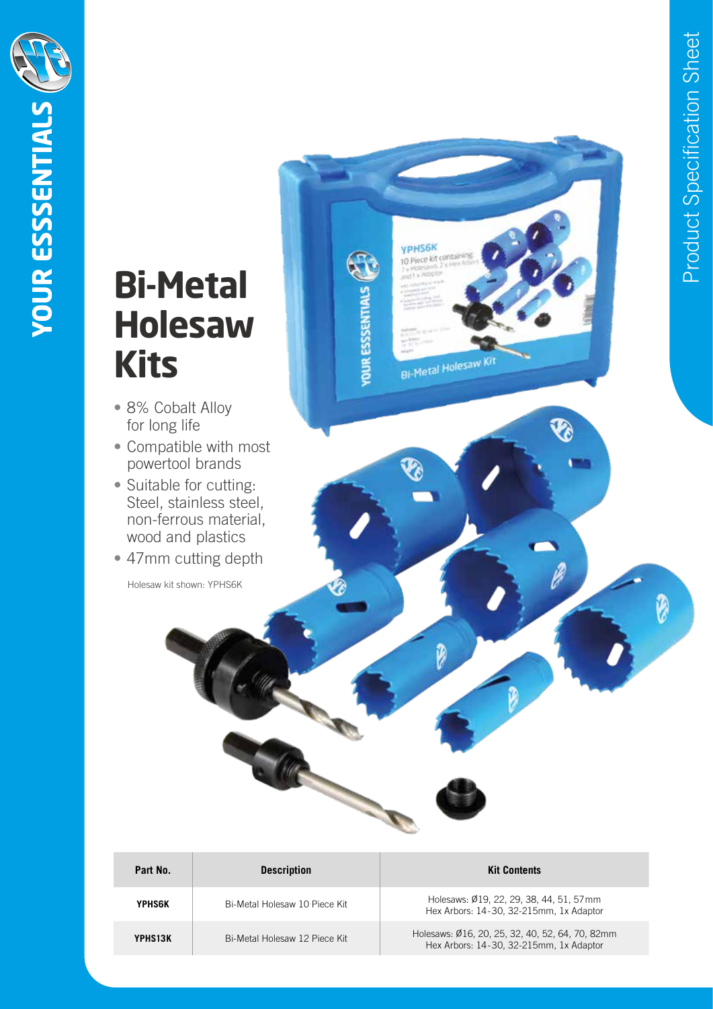Ø

## **Bi-Metal Holesaw Kits**

**YOUR ESSSENTIALS** 

- 8% Cobalt Alloy for long life
- Compatible with most powertool brands
- Suitable for cutting: Steel, stainless steel, non-ferrous material, wood and plastics
- 47mm cutting depth

Holesaw kit shown: YPHS6K

| Part No.      | <b>Description</b>            | <b>Kit Contents</b>                                                                        |
|---------------|-------------------------------|--------------------------------------------------------------------------------------------|
| <b>YPHS6K</b> | Bi-Metal Holesaw 10 Piece Kit | Holesaws: Ø19, 22, 29, 38, 44, 51, 57mm<br>Hex Arbors: 14-30, 32-215mm, 1x Adaptor         |
| YPHS13K       | Bi-Metal Holesaw 12 Piece Kit | Holesaws: Ø16, 20, 25, 32, 40, 52, 64, 70, 82mm<br>Hex Arbors: 14-30, 32-215mm, 1x Adaptor |

**YPHS6K** to Piece kit cont

Bi-Metal Holesaw Kit

E

**YOUR ESSSENTIALS**